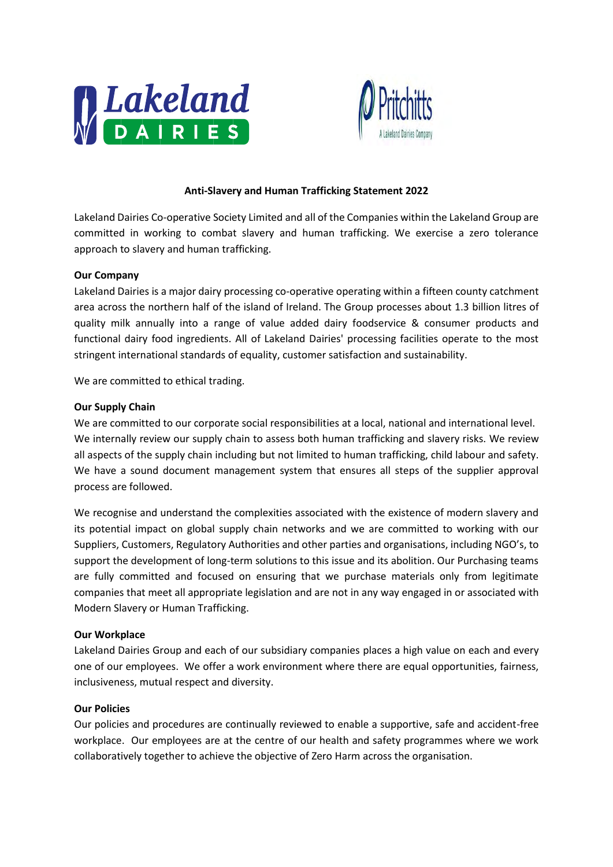



# **Anti-Slavery and Human Trafficking Statement 2022**

Lakeland Dairies Co-operative Society Limited and all of the Companies within the Lakeland Group are committed in working to combat slavery and human trafficking. We exercise a zero tolerance approach to slavery and human trafficking.

#### **Our Company**

Lakeland Dairies is a major dairy processing co-operative operating within a fifteen county catchment area across the northern half of the island of Ireland. The Group processes about 1.3 billion litres of quality milk annually into a range of value added dairy foodservice & consumer products and functional dairy food ingredients. All of Lakeland Dairies' processing facilities operate to the most stringent international standards of equality, customer satisfaction and sustainability.

We are committed to ethical trading.

#### **Our Supply Chain**

We are committed to our corporate social responsibilities at a local, national and international level. We internally review our supply chain to assess both human trafficking and slavery risks. We review all aspects of the supply chain including but not limited to human trafficking, child labour and safety. We have a sound document management system that ensures all steps of the supplier approval process are followed.

We recognise and understand the complexities associated with the existence of modern slavery and its potential impact on global supply chain networks and we are committed to working with our Suppliers, Customers, Regulatory Authorities and other parties and organisations, including NGO's, to support the development of long-term solutions to this issue and its abolition. Our Purchasing teams are fully committed and focused on ensuring that we purchase materials only from legitimate companies that meet all appropriate legislation and are not in any way engaged in or associated with Modern Slavery or Human Trafficking.

## **Our Workplace**

Lakeland Dairies Group and each of our subsidiary companies places a high value on each and every one of our employees. We offer a work environment where there are equal opportunities, fairness, inclusiveness, mutual respect and diversity.

## **Our Policies**

Our policies and procedures are continually reviewed to enable a supportive, safe and accident-free workplace. Our employees are at the centre of our health and safety programmes where we work collaboratively together to achieve the objective of Zero Harm across the organisation.